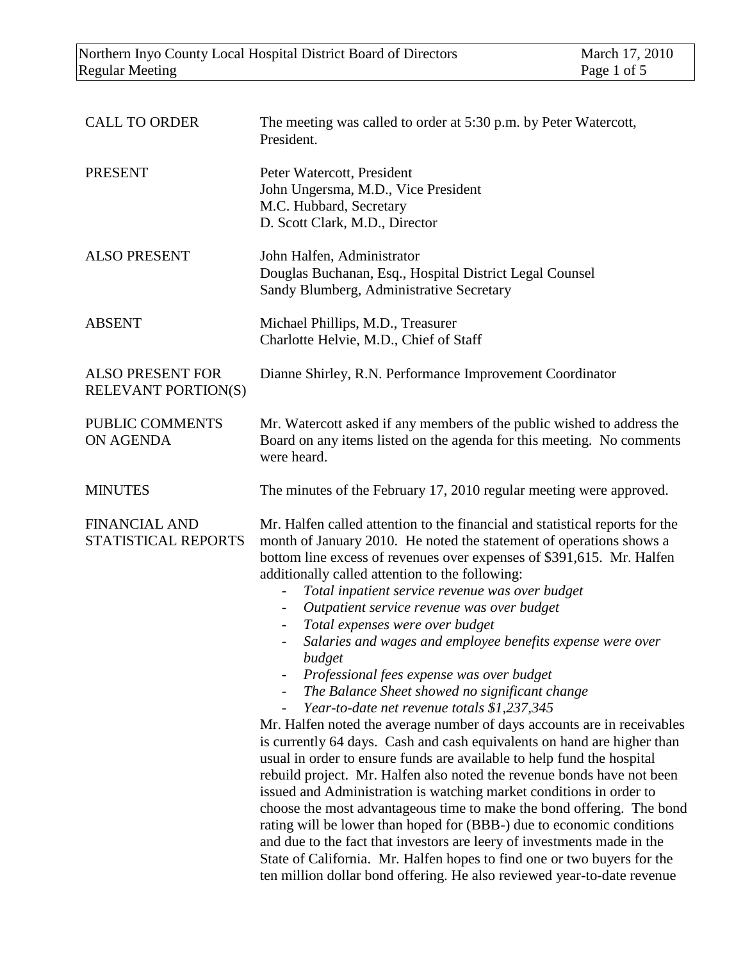| <b>CALL TO ORDER</b>                                  | The meeting was called to order at 5:30 p.m. by Peter Watercott,<br>President.                                                                                                                                                                                                                                                                                                                                                                                                                                                                                                                                                                                                                                                                                                                                                                                                                                                                                                                                                                                                                                                                                                                                                                                            |
|-------------------------------------------------------|---------------------------------------------------------------------------------------------------------------------------------------------------------------------------------------------------------------------------------------------------------------------------------------------------------------------------------------------------------------------------------------------------------------------------------------------------------------------------------------------------------------------------------------------------------------------------------------------------------------------------------------------------------------------------------------------------------------------------------------------------------------------------------------------------------------------------------------------------------------------------------------------------------------------------------------------------------------------------------------------------------------------------------------------------------------------------------------------------------------------------------------------------------------------------------------------------------------------------------------------------------------------------|
| <b>PRESENT</b>                                        | Peter Watercott, President<br>John Ungersma, M.D., Vice President<br>M.C. Hubbard, Secretary<br>D. Scott Clark, M.D., Director                                                                                                                                                                                                                                                                                                                                                                                                                                                                                                                                                                                                                                                                                                                                                                                                                                                                                                                                                                                                                                                                                                                                            |
| <b>ALSO PRESENT</b>                                   | John Halfen, Administrator<br>Douglas Buchanan, Esq., Hospital District Legal Counsel<br>Sandy Blumberg, Administrative Secretary                                                                                                                                                                                                                                                                                                                                                                                                                                                                                                                                                                                                                                                                                                                                                                                                                                                                                                                                                                                                                                                                                                                                         |
| <b>ABSENT</b>                                         | Michael Phillips, M.D., Treasurer<br>Charlotte Helvie, M.D., Chief of Staff                                                                                                                                                                                                                                                                                                                                                                                                                                                                                                                                                                                                                                                                                                                                                                                                                                                                                                                                                                                                                                                                                                                                                                                               |
| <b>ALSO PRESENT FOR</b><br><b>RELEVANT PORTION(S)</b> | Dianne Shirley, R.N. Performance Improvement Coordinator                                                                                                                                                                                                                                                                                                                                                                                                                                                                                                                                                                                                                                                                                                                                                                                                                                                                                                                                                                                                                                                                                                                                                                                                                  |
| PUBLIC COMMENTS<br>ON AGENDA                          | Mr. Watercott asked if any members of the public wished to address the<br>Board on any items listed on the agenda for this meeting. No comments<br>were heard.                                                                                                                                                                                                                                                                                                                                                                                                                                                                                                                                                                                                                                                                                                                                                                                                                                                                                                                                                                                                                                                                                                            |
| <b>MINUTES</b>                                        | The minutes of the February 17, 2010 regular meeting were approved.                                                                                                                                                                                                                                                                                                                                                                                                                                                                                                                                                                                                                                                                                                                                                                                                                                                                                                                                                                                                                                                                                                                                                                                                       |
| <b>FINANCIAL AND</b><br>STATISTICAL REPORTS           | Mr. Halfen called attention to the financial and statistical reports for the<br>month of January 2010. He noted the statement of operations shows a<br>bottom line excess of revenues over expenses of \$391,615. Mr. Halfen<br>additionally called attention to the following:<br>Total inpatient service revenue was over budget<br>Outpatient service revenue was over budget<br>Total expenses were over budget<br>Salaries and wages and employee benefits expense were over<br>$\blacksquare$<br>budget<br>Professional fees expense was over budget<br>The Balance Sheet showed no significant change<br>Year-to-date net revenue totals \$1,237,345<br>Mr. Halfen noted the average number of days accounts are in receivables<br>is currently 64 days. Cash and cash equivalents on hand are higher than<br>usual in order to ensure funds are available to help fund the hospital<br>rebuild project. Mr. Halfen also noted the revenue bonds have not been<br>issued and Administration is watching market conditions in order to<br>choose the most advantageous time to make the bond offering. The bond<br>rating will be lower than hoped for (BBB-) due to economic conditions<br>and due to the fact that investors are leery of investments made in the |

State of California. Mr. Halfen hopes to find one or two buyers for the ten million dollar bond offering. He also reviewed year-to-date revenue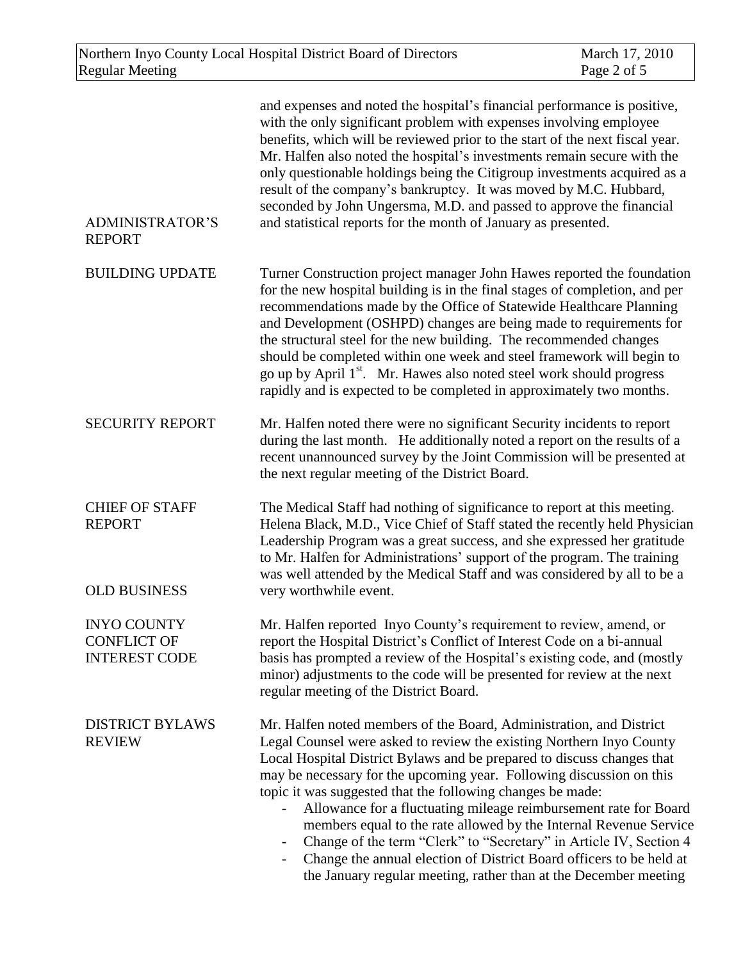| <b>ADMINISTRATOR'S</b><br><b>REPORT</b>                       | and expenses and noted the hospital's financial performance is positive,<br>with the only significant problem with expenses involving employee<br>benefits, which will be reviewed prior to the start of the next fiscal year.<br>Mr. Halfen also noted the hospital's investments remain secure with the<br>only questionable holdings being the Citigroup investments acquired as a<br>result of the company's bankruptcy. It was moved by M.C. Hubbard,<br>seconded by John Ungersma, M.D. and passed to approve the financial<br>and statistical reports for the month of January as presented.                                                                                                                                        |
|---------------------------------------------------------------|--------------------------------------------------------------------------------------------------------------------------------------------------------------------------------------------------------------------------------------------------------------------------------------------------------------------------------------------------------------------------------------------------------------------------------------------------------------------------------------------------------------------------------------------------------------------------------------------------------------------------------------------------------------------------------------------------------------------------------------------|
| <b>BUILDING UPDATE</b>                                        | Turner Construction project manager John Hawes reported the foundation<br>for the new hospital building is in the final stages of completion, and per<br>recommendations made by the Office of Statewide Healthcare Planning<br>and Development (OSHPD) changes are being made to requirements for<br>the structural steel for the new building. The recommended changes<br>should be completed within one week and steel framework will begin to<br>go up by April 1 <sup>st</sup> . Mr. Hawes also noted steel work should progress<br>rapidly and is expected to be completed in approximately two months.                                                                                                                              |
| <b>SECURITY REPORT</b>                                        | Mr. Halfen noted there were no significant Security incidents to report<br>during the last month. He additionally noted a report on the results of a<br>recent unannounced survey by the Joint Commission will be presented at<br>the next regular meeting of the District Board.                                                                                                                                                                                                                                                                                                                                                                                                                                                          |
| <b>CHIEF OF STAFF</b><br><b>REPORT</b><br><b>OLD BUSINESS</b> | The Medical Staff had nothing of significance to report at this meeting.<br>Helena Black, M.D., Vice Chief of Staff stated the recently held Physician<br>Leadership Program was a great success, and she expressed her gratitude<br>to Mr. Halfen for Administrations' support of the program. The training<br>was well attended by the Medical Staff and was considered by all to be a<br>very worthwhile event.                                                                                                                                                                                                                                                                                                                         |
| <b>INYO COUNTY</b>                                            | Mr. Halfen reported Inyo County's requirement to review, amend, or                                                                                                                                                                                                                                                                                                                                                                                                                                                                                                                                                                                                                                                                         |
| <b>CONFLICT OF</b><br><b>INTEREST CODE</b>                    | report the Hospital District's Conflict of Interest Code on a bi-annual<br>basis has prompted a review of the Hospital's existing code, and (mostly<br>minor) adjustments to the code will be presented for review at the next<br>regular meeting of the District Board.                                                                                                                                                                                                                                                                                                                                                                                                                                                                   |
| <b>DISTRICT BYLAWS</b><br><b>REVIEW</b>                       | Mr. Halfen noted members of the Board, Administration, and District<br>Legal Counsel were asked to review the existing Northern Inyo County<br>Local Hospital District Bylaws and be prepared to discuss changes that<br>may be necessary for the upcoming year. Following discussion on this<br>topic it was suggested that the following changes be made:<br>Allowance for a fluctuating mileage reimbursement rate for Board<br>members equal to the rate allowed by the Internal Revenue Service<br>Change of the term "Clerk" to "Secretary" in Article IV, Section 4<br>$\qquad \qquad -$<br>Change the annual election of District Board officers to be held at<br>the January regular meeting, rather than at the December meeting |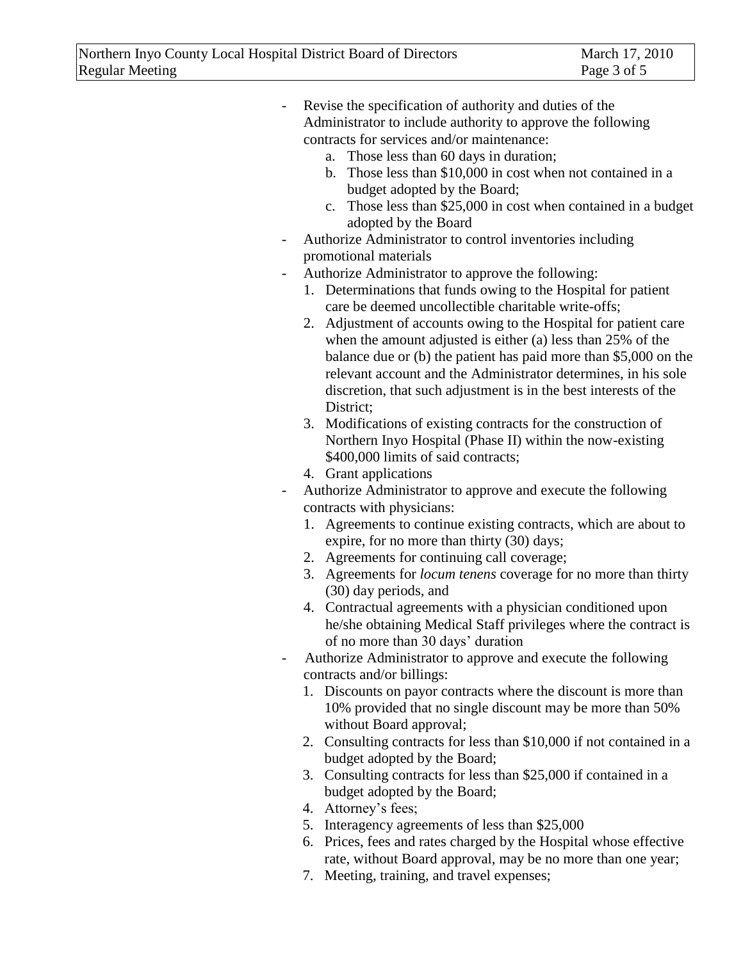- Revise the specification of authority and duties of the Administrator to include authority to approve the following contracts for services and/or maintenance:

- a. Those less than 60 days in duration;
- b. Those less than \$10,000 in cost when not contained in a budget adopted by the Board;
- c. Those less than \$25,000 in cost when contained in a budget adopted by the Board
- Authorize Administrator to control inventories including promotional materials
- Authorize Administrator to approve the following:
	- 1. Determinations that funds owing to the Hospital for patient care be deemed uncollectible charitable write-offs;
	- 2. Adjustment of accounts owing to the Hospital for patient care when the amount adjusted is either (a) less than 25% of the balance due or (b) the patient has paid more than \$5,000 on the relevant account and the Administrator determines, in his sole discretion, that such adjustment is in the best interests of the District;
	- 3. Modifications of existing contracts for the construction of Northern Inyo Hospital (Phase II) within the now-existing \$400,000 limits of said contracts;
	- 4. Grant applications
- Authorize Administrator to approve and execute the following contracts with physicians:
	- 1. Agreements to continue existing contracts, which are about to expire, for no more than thirty (30) days;
	- 2. Agreements for continuing call coverage;
	- 3. Agreements for *locum tenens* coverage for no more than thirty (30) day periods, and
	- 4. Contractual agreements with a physician conditioned upon he/she obtaining Medical Staff privileges where the contract is of no more than 30 days' duration
- Authorize Administrator to approve and execute the following contracts and/or billings:
	- 1. Discounts on payor contracts where the discount is more than 10% provided that no single discount may be more than 50% without Board approval;
	- 2. Consulting contracts for less than \$10,000 if not contained in a budget adopted by the Board;
	- 3. Consulting contracts for less than \$25,000 if contained in a budget adopted by the Board;
	- 4. Attorney's fees;
	- 5. Interagency agreements of less than \$25,000
	- 6. Prices, fees and rates charged by the Hospital whose effective rate, without Board approval, may be no more than one year;
	- 7. Meeting, training, and travel expenses;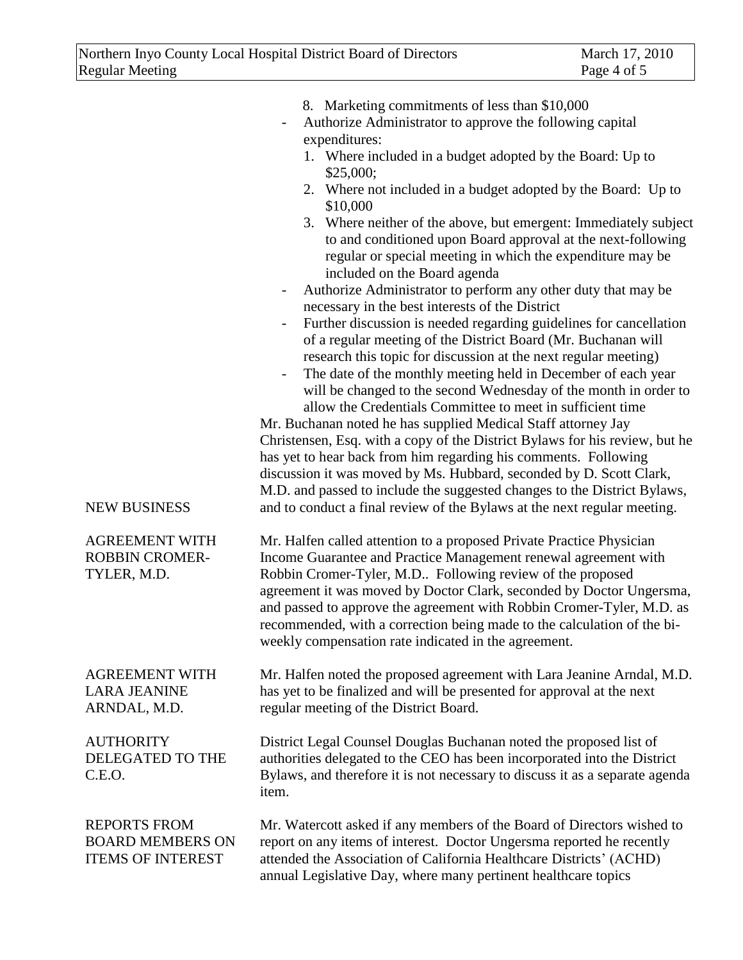| <b>NEW BUSINESS</b>                                                        | 8. Marketing commitments of less than \$10,000<br>Authorize Administrator to approve the following capital<br>expenditures:<br>1. Where included in a budget adopted by the Board: Up to<br>\$25,000;<br>2. Where not included in a budget adopted by the Board: Up to<br>\$10,000<br>3. Where neither of the above, but emergent: Immediately subject<br>to and conditioned upon Board approval at the next-following<br>regular or special meeting in which the expenditure may be<br>included on the Board agenda<br>Authorize Administrator to perform any other duty that may be<br>$\overline{\phantom{a}}$<br>necessary in the best interests of the District<br>Further discussion is needed regarding guidelines for cancellation<br>$\overline{\phantom{a}}$<br>of a regular meeting of the District Board (Mr. Buchanan will<br>research this topic for discussion at the next regular meeting)<br>The date of the monthly meeting held in December of each year<br>$\overline{\phantom{a}}$<br>will be changed to the second Wednesday of the month in order to<br>allow the Credentials Committee to meet in sufficient time<br>Mr. Buchanan noted he has supplied Medical Staff attorney Jay<br>Christensen, Esq. with a copy of the District Bylaws for his review, but he<br>has yet to hear back from him regarding his comments. Following<br>discussion it was moved by Ms. Hubbard, seconded by D. Scott Clark,<br>M.D. and passed to include the suggested changes to the District Bylaws,<br>and to conduct a final review of the Bylaws at the next regular meeting. |
|----------------------------------------------------------------------------|---------------------------------------------------------------------------------------------------------------------------------------------------------------------------------------------------------------------------------------------------------------------------------------------------------------------------------------------------------------------------------------------------------------------------------------------------------------------------------------------------------------------------------------------------------------------------------------------------------------------------------------------------------------------------------------------------------------------------------------------------------------------------------------------------------------------------------------------------------------------------------------------------------------------------------------------------------------------------------------------------------------------------------------------------------------------------------------------------------------------------------------------------------------------------------------------------------------------------------------------------------------------------------------------------------------------------------------------------------------------------------------------------------------------------------------------------------------------------------------------------------------------------------------------------------------------------------------------|
| <b>AGREEMENT WITH</b><br><b>ROBBIN CROMER-</b><br>TYLER, M.D.              | Mr. Halfen called attention to a proposed Private Practice Physician<br>Income Guarantee and Practice Management renewal agreement with<br>Robbin Cromer-Tyler, M.D Following review of the proposed<br>agreement it was moved by Doctor Clark, seconded by Doctor Ungersma,<br>and passed to approve the agreement with Robbin Cromer-Tyler, M.D. as<br>recommended, with a correction being made to the calculation of the bi-<br>weekly compensation rate indicated in the agreement.                                                                                                                                                                                                                                                                                                                                                                                                                                                                                                                                                                                                                                                                                                                                                                                                                                                                                                                                                                                                                                                                                                    |
| <b>AGREEMENT WITH</b><br><b>LARA JEANINE</b><br>ARNDAL, M.D.               | Mr. Halfen noted the proposed agreement with Lara Jeanine Arndal, M.D.<br>has yet to be finalized and will be presented for approval at the next<br>regular meeting of the District Board.                                                                                                                                                                                                                                                                                                                                                                                                                                                                                                                                                                                                                                                                                                                                                                                                                                                                                                                                                                                                                                                                                                                                                                                                                                                                                                                                                                                                  |
| <b>AUTHORITY</b><br>DELEGATED TO THE<br>C.E.O.                             | District Legal Counsel Douglas Buchanan noted the proposed list of<br>authorities delegated to the CEO has been incorporated into the District<br>Bylaws, and therefore it is not necessary to discuss it as a separate agenda<br>item.                                                                                                                                                                                                                                                                                                                                                                                                                                                                                                                                                                                                                                                                                                                                                                                                                                                                                                                                                                                                                                                                                                                                                                                                                                                                                                                                                     |
| <b>REPORTS FROM</b><br><b>BOARD MEMBERS ON</b><br><b>ITEMS OF INTEREST</b> | Mr. Watercott asked if any members of the Board of Directors wished to<br>report on any items of interest. Doctor Ungersma reported he recently<br>attended the Association of California Healthcare Districts' (ACHD)<br>annual Legislative Day, where many pertinent healthcare topics                                                                                                                                                                                                                                                                                                                                                                                                                                                                                                                                                                                                                                                                                                                                                                                                                                                                                                                                                                                                                                                                                                                                                                                                                                                                                                    |